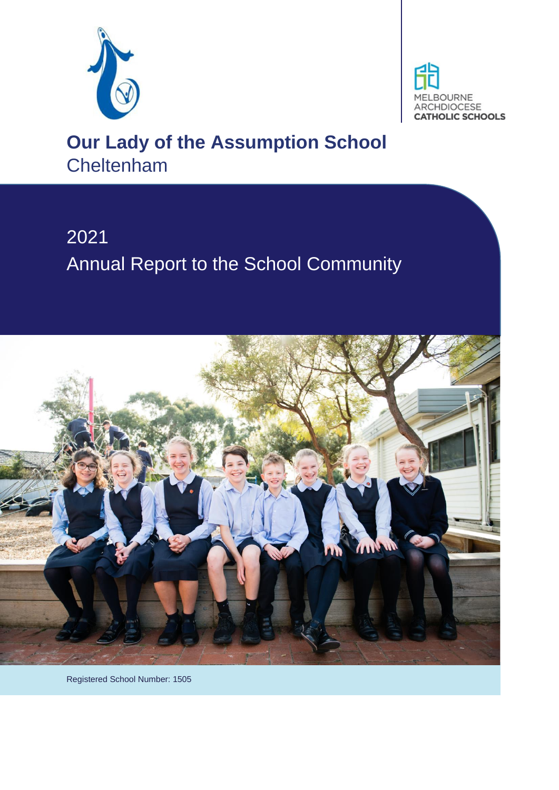



# **Our Lady of the Assumption School Cheltenham**

# 2021 Annual Report to the School Community



Registered School Number: 1505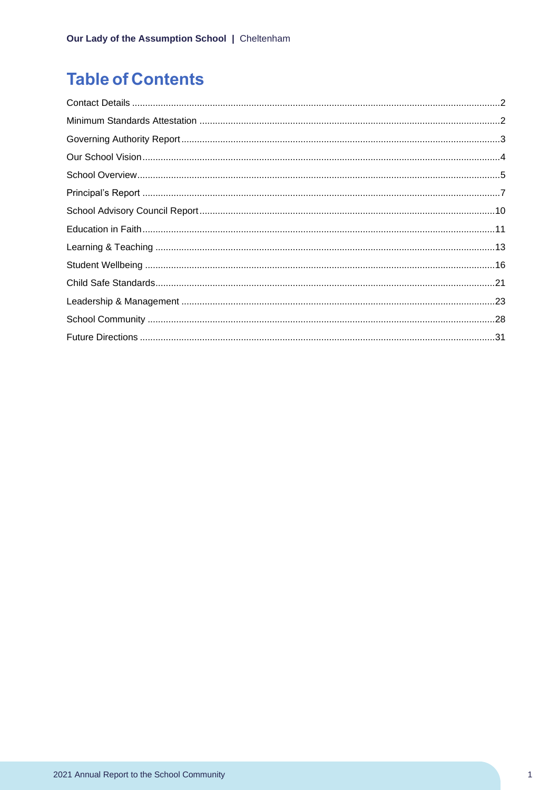## **Table of Contents**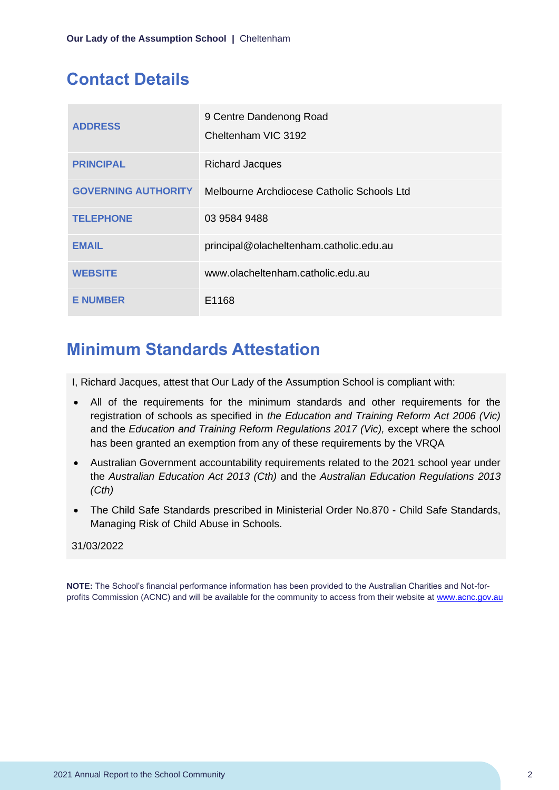### <span id="page-2-0"></span>**Contact Details**

| <b>ADDRESS</b>             | 9 Centre Dandenong Road<br>Cheltenham VIC 3192 |
|----------------------------|------------------------------------------------|
| <b>PRINCIPAL</b>           | <b>Richard Jacques</b>                         |
| <b>GOVERNING AUTHORITY</b> | Melbourne Archdiocese Catholic Schools Ltd     |
| <b>TELEPHONE</b>           | 03 9584 9488                                   |
| <b>EMAIL</b>               | principal@olacheltenham.catholic.edu.au        |
| <b>WEBSITE</b>             | www.olacheltenham.catholic.edu.au              |
| <b>E NUMBER</b>            | E1168                                          |

## <span id="page-2-1"></span>**Minimum Standards Attestation**

I, Richard Jacques, attest that Our Lady of the Assumption School is compliant with:

- All of the requirements for the minimum standards and other requirements for the registration of schools as specified in *the Education and Training Reform Act 2006 (Vic)* and the *Education and Training Reform Regulations 2017 (Vic),* except where the school has been granted an exemption from any of these requirements by the VRQA
- Australian Government accountability requirements related to the 2021 school year under the *Australian Education Act 2013 (Cth)* and the *Australian Education Regulations 2013 (Cth)*
- The Child Safe Standards prescribed in Ministerial Order No.870 Child Safe Standards, Managing Risk of Child Abuse in Schools.

#### 31/03/2022

**NOTE:** The School's financial performance information has been provided to the Australian Charities and Not-forprofits Commission (ACNC) and will be available for the community to access from their website at [www.acnc.gov.au](http://www.acnc.gov.au/)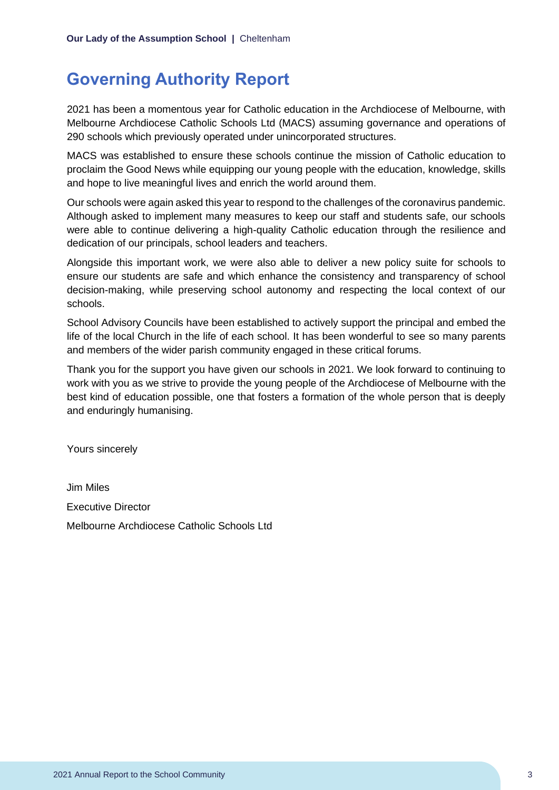### <span id="page-3-0"></span>**Governing Authority Report**

2021 has been a momentous year for Catholic education in the Archdiocese of Melbourne, with Melbourne Archdiocese Catholic Schools Ltd (MACS) assuming governance and operations of 290 schools which previously operated under unincorporated structures.

MACS was established to ensure these schools continue the mission of Catholic education to proclaim the Good News while equipping our young people with the education, knowledge, skills and hope to live meaningful lives and enrich the world around them.

Our schools were again asked this year to respond to the challenges of the coronavirus pandemic. Although asked to implement many measures to keep our staff and students safe, our schools were able to continue delivering a high-quality Catholic education through the resilience and dedication of our principals, school leaders and teachers.

Alongside this important work, we were also able to deliver a new policy suite for schools to ensure our students are safe and which enhance the consistency and transparency of school decision-making, while preserving school autonomy and respecting the local context of our schools.

School Advisory Councils have been established to actively support the principal and embed the life of the local Church in the life of each school. It has been wonderful to see so many parents and members of the wider parish community engaged in these critical forums.

Thank you for the support you have given our schools in 2021. We look forward to continuing to work with you as we strive to provide the young people of the Archdiocese of Melbourne with the best kind of education possible, one that fosters a formation of the whole person that is deeply and enduringly humanising.

Yours sincerely

Jim Miles Executive Director Melbourne Archdiocese Catholic Schools Ltd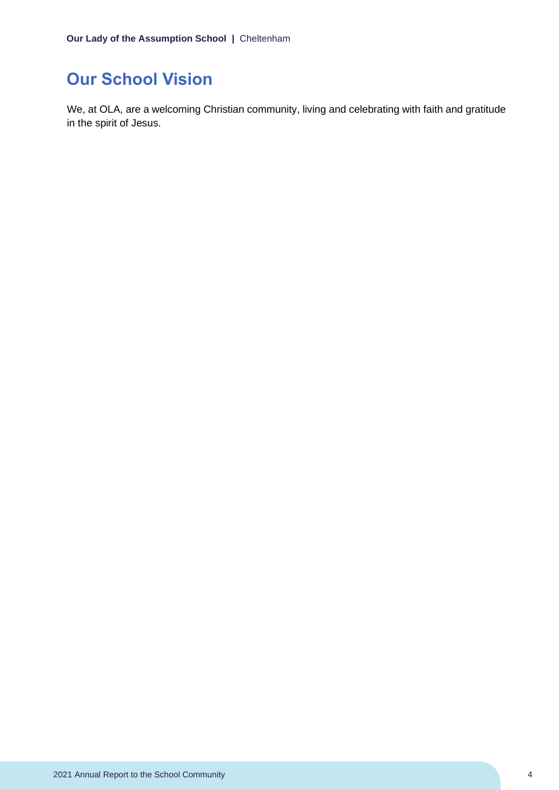## <span id="page-4-0"></span>**Our School Vision**

We, at OLA, are a welcoming Christian community, living and celebrating with faith and gratitude in the spirit of Jesus.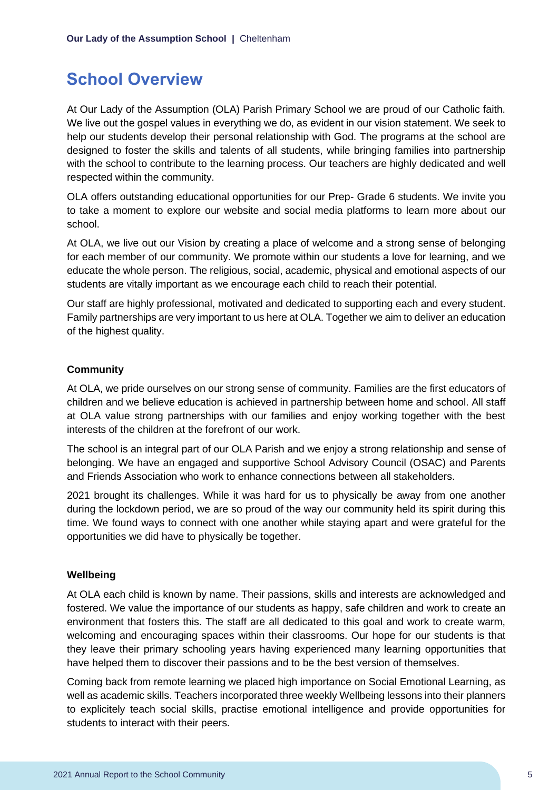### <span id="page-5-0"></span>**School Overview**

At Our Lady of the Assumption (OLA) Parish Primary School we are proud of our Catholic faith. We live out the gospel values in everything we do, as evident in our vision statement. We seek to help our students develop their personal relationship with God. The programs at the school are designed to foster the skills and talents of all students, while bringing families into partnership with the school to contribute to the learning process. Our teachers are highly dedicated and well respected within the community.

OLA offers outstanding educational opportunities for our Prep- Grade 6 students. We invite you to take a moment to explore our website and social media platforms to learn more about our school.

At OLA, we live out our Vision by creating a place of welcome and a strong sense of belonging for each member of our community. We promote within our students a love for learning, and we educate the whole person. The religious, social, academic, physical and emotional aspects of our students are vitally important as we encourage each child to reach their potential.

Our staff are highly professional, motivated and dedicated to supporting each and every student. Family partnerships are very important to us here at OLA. Together we aim to deliver an education of the highest quality.

#### **Community**

At OLA, we pride ourselves on our strong sense of community. Families are the first educators of children and we believe education is achieved in partnership between home and school. All staff at OLA value strong partnerships with our families and enjoy working together with the best interests of the children at the forefront of our work.

The school is an integral part of our OLA Parish and we enjoy a strong relationship and sense of belonging. We have an engaged and supportive School Advisory Council (OSAC) and Parents and Friends Association who work to enhance connections between all stakeholders.

2021 brought its challenges. While it was hard for us to physically be away from one another during the lockdown period, we are so proud of the way our community held its spirit during this time. We found ways to connect with one another while staying apart and were grateful for the opportunities we did have to physically be together.

#### **Wellbeing**

At OLA each child is known by name. Their passions, skills and interests are acknowledged and fostered. We value the importance of our students as happy, safe children and work to create an environment that fosters this. The staff are all dedicated to this goal and work to create warm, welcoming and encouraging spaces within their classrooms. Our hope for our students is that they leave their primary schooling years having experienced many learning opportunities that have helped them to discover their passions and to be the best version of themselves.

Coming back from remote learning we placed high importance on Social Emotional Learning, as well as academic skills. Teachers incorporated three weekly Wellbeing lessons into their planners to explicitely teach social skills, practise emotional intelligence and provide opportunities for students to interact with their peers.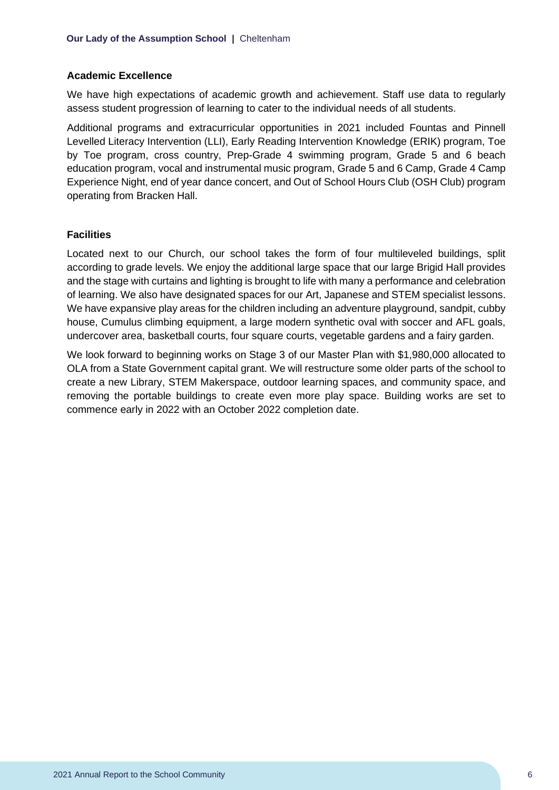#### **Academic Excellence**

We have high expectations of academic growth and achievement. Staff use data to regularly assess student progression of learning to cater to the individual needs of all students.

Additional programs and extracurricular opportunities in 2021 included Fountas and Pinnell Levelled Literacy Intervention (LLI), Early Reading Intervention Knowledge (ERIK) program, Toe by Toe program, cross country, Prep-Grade 4 swimming program, Grade 5 and 6 beach education program, vocal and instrumental music program, Grade 5 and 6 Camp, Grade 4 Camp Experience Night, end of year dance concert, and Out of School Hours Club (OSH Club) program operating from Bracken Hall.

#### **Facilities**

Located next to our Church, our school takes the form of four multileveled buildings, split according to grade levels. We enjoy the additional large space that our large Brigid Hall provides and the stage with curtains and lighting is brought to life with many a performance and celebration of learning. We also have designated spaces for our Art, Japanese and STEM specialist lessons. We have expansive play areas for the children including an adventure playground, sandpit, cubby house, Cumulus climbing equipment, a large modern synthetic oval with soccer and AFL goals, undercover area, basketball courts, four square courts, vegetable gardens and a fairy garden.

We look forward to beginning works on Stage 3 of our Master Plan with \$1,980,000 allocated to OLA from a State Government capital grant. We will restructure some older parts of the school to create a new Library, STEM Makerspace, outdoor learning spaces, and community space, and removing the portable buildings to create even more play space. Building works are set to commence early in 2022 with an October 2022 completion date.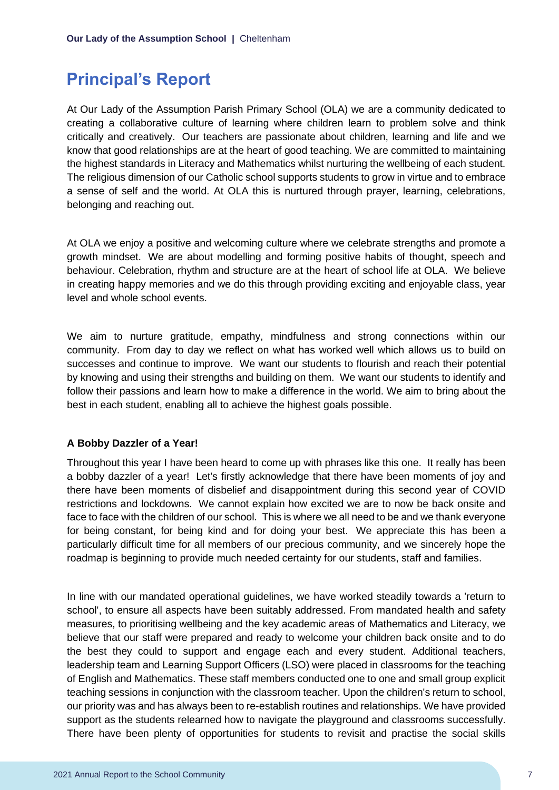### <span id="page-7-0"></span>**Principal's Report**

At Our Lady of the Assumption Parish Primary School (OLA) we are a community dedicated to creating a collaborative culture of learning where children learn to problem solve and think critically and creatively. Our teachers are passionate about children, learning and life and we know that good relationships are at the heart of good teaching. We are committed to maintaining the highest standards in Literacy and Mathematics whilst nurturing the wellbeing of each student. The religious dimension of our Catholic school supports students to grow in virtue and to embrace a sense of self and the world. At OLA this is nurtured through prayer, learning, celebrations, belonging and reaching out.

At OLA we enjoy a positive and welcoming culture where we celebrate strengths and promote a growth mindset. We are about modelling and forming positive habits of thought, speech and behaviour. Celebration, rhythm and structure are at the heart of school life at OLA. We believe in creating happy memories and we do this through providing exciting and enjoyable class, year level and whole school events.

We aim to nurture gratitude, empathy, mindfulness and strong connections within our community. From day to day we reflect on what has worked well which allows us to build on successes and continue to improve. We want our students to flourish and reach their potential by knowing and using their strengths and building on them. We want our students to identify and follow their passions and learn how to make a difference in the world. We aim to bring about the best in each student, enabling all to achieve the highest goals possible.

#### **A Bobby Dazzler of a Year!**

Throughout this year I have been heard to come up with phrases like this one. It really has been a bobby dazzler of a year! Let's firstly acknowledge that there have been moments of joy and there have been moments of disbelief and disappointment during this second year of COVID restrictions and lockdowns. We cannot explain how excited we are to now be back onsite and face to face with the children of our school. This is where we all need to be and we thank everyone for being constant, for being kind and for doing your best. We appreciate this has been a particularly difficult time for all members of our precious community, and we sincerely hope the roadmap is beginning to provide much needed certainty for our students, staff and families.

In line with our mandated operational guidelines, we have worked steadily towards a 'return to school', to ensure all aspects have been suitably addressed. From mandated health and safety measures, to prioritising wellbeing and the key academic areas of Mathematics and Literacy, we believe that our staff were prepared and ready to welcome your children back onsite and to do the best they could to support and engage each and every student. Additional teachers, leadership team and Learning Support Officers (LSO) were placed in classrooms for the teaching of English and Mathematics. These staff members conducted one to one and small group explicit teaching sessions in conjunction with the classroom teacher. Upon the children's return to school, our priority was and has always been to re-establish routines and relationships. We have provided support as the students relearned how to navigate the playground and classrooms successfully. There have been plenty of opportunities for students to revisit and practise the social skills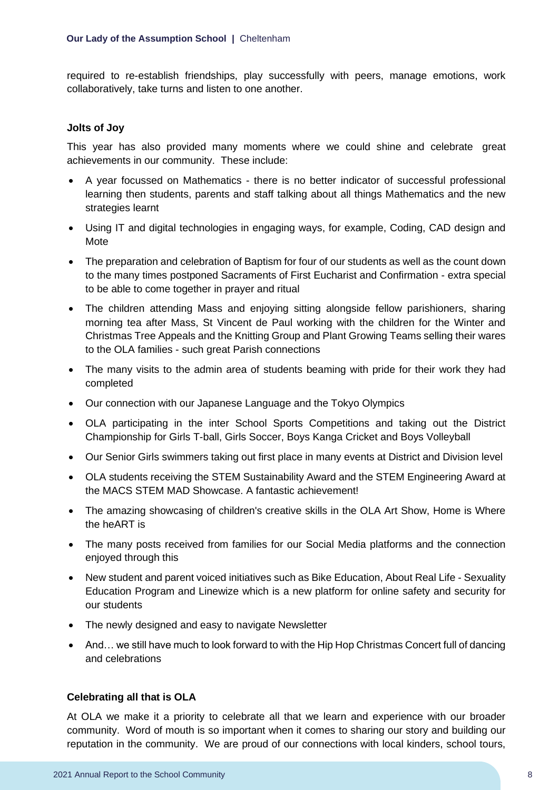required to re-establish friendships, play successfully with peers, manage emotions, work collaboratively, take turns and listen to one another.

#### **Jolts of Joy**

This year has also provided many moments where we could shine and celebrate great achievements in our community. These include:

- A year focussed on Mathematics there is no better indicator of successful professional learning then students, parents and staff talking about all things Mathematics and the new strategies learnt
- Using IT and digital technologies in engaging ways, for example, Coding, CAD design and **Mote**
- The preparation and celebration of Baptism for four of our students as well as the count down to the many times postponed Sacraments of First Eucharist and Confirmation - extra special to be able to come together in prayer and ritual
- The children attending Mass and enjoying sitting alongside fellow parishioners, sharing morning tea after Mass, St Vincent de Paul working with the children for the Winter and Christmas Tree Appeals and the Knitting Group and Plant Growing Teams selling their wares to the OLA families - such great Parish connections
- The many visits to the admin area of students beaming with pride for their work they had completed
- Our connection with our Japanese Language and the Tokyo Olympics
- OLA participating in the inter School Sports Competitions and taking out the District Championship for Girls T-ball, Girls Soccer, Boys Kanga Cricket and Boys Volleyball
- Our Senior Girls swimmers taking out first place in many events at District and Division level
- OLA students receiving the STEM Sustainability Award and the STEM Engineering Award at the MACS STEM MAD Showcase. A fantastic achievement!
- The amazing showcasing of children's creative skills in the OLA Art Show, Home is Where the heART is
- The many posts received from families for our Social Media platforms and the connection enjoyed through this
- New student and parent voiced initiatives such as Bike Education, About Real Life Sexuality Education Program and Linewize which is a new platform for online safety and security for our students
- The newly designed and easy to navigate Newsletter
- And... we still have much to look forward to with the Hip Hop Christmas Concert full of dancing and celebrations

#### **Celebrating all that is OLA**

At OLA we make it a priority to celebrate all that we learn and experience with our broader community. Word of mouth is so important when it comes to sharing our story and building our reputation in the community. We are proud of our connections with local kinders, school tours,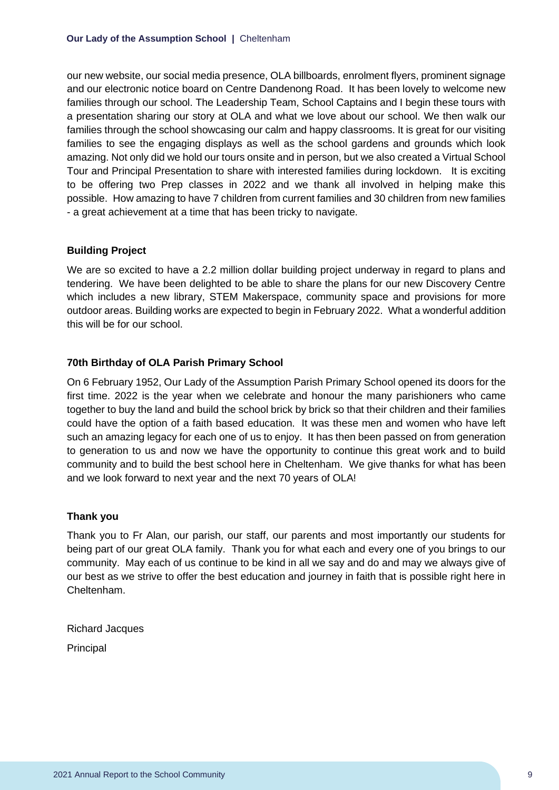our new website, our social media presence, OLA billboards, enrolment flyers, prominent signage and our electronic notice board on Centre Dandenong Road. It has been lovely to welcome new families through our school. The Leadership Team, School Captains and I begin these tours with a presentation sharing our story at OLA and what we love about our school. We then walk our families through the school showcasing our calm and happy classrooms. It is great for our visiting families to see the engaging displays as well as the school gardens and grounds which look amazing. Not only did we hold our tours onsite and in person, but we also created a Virtual School Tour and Principal Presentation to share with interested families during lockdown. It is exciting to be offering two Prep classes in 2022 and we thank all involved in helping make this possible. How amazing to have 7 children from current families and 30 children from new families - a great achievement at a time that has been tricky to navigate.

#### **Building Project**

We are so excited to have a 2.2 million dollar building project underway in regard to plans and tendering. We have been delighted to be able to share the plans for our new Discovery Centre which includes a new library, STEM Makerspace, community space and provisions for more outdoor areas. Building works are expected to begin in February 2022. What a wonderful addition this will be for our school.

#### **70th Birthday of OLA Parish Primary School**

On 6 February 1952, Our Lady of the Assumption Parish Primary School opened its doors for the first time. 2022 is the year when we celebrate and honour the many parishioners who came together to buy the land and build the school brick by brick so that their children and their families could have the option of a faith based education. It was these men and women who have left such an amazing legacy for each one of us to enjoy. It has then been passed on from generation to generation to us and now we have the opportunity to continue this great work and to build community and to build the best school here in Cheltenham. We give thanks for what has been and we look forward to next year and the next 70 years of OLA!

#### **Thank you**

Thank you to Fr Alan, our parish, our staff, our parents and most importantly our students for being part of our great OLA family. Thank you for what each and every one of you brings to our community. May each of us continue to be kind in all we say and do and may we always give of our best as we strive to offer the best education and journey in faith that is possible right here in Cheltenham.

Richard Jacques **Principal**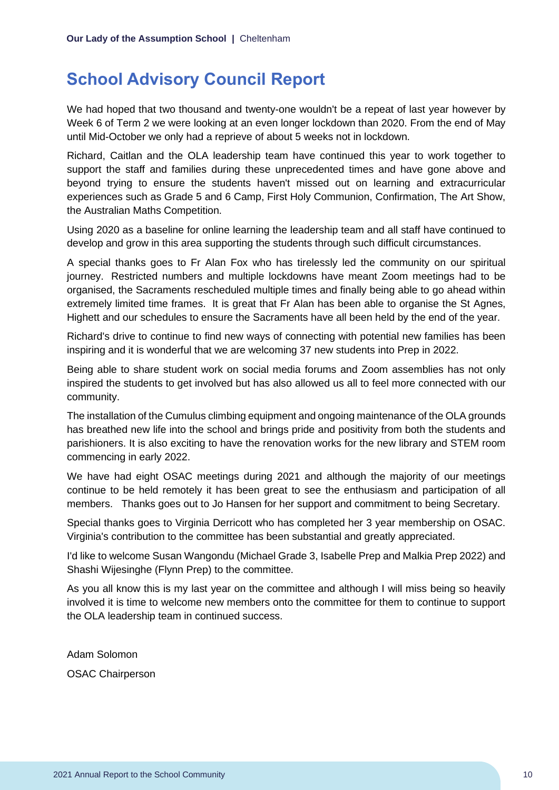### <span id="page-10-0"></span>**School Advisory Council Report**

We had hoped that two thousand and twenty-one wouldn't be a repeat of last year however by Week 6 of Term 2 we were looking at an even longer lockdown than 2020. From the end of May until Mid-October we only had a reprieve of about 5 weeks not in lockdown.

Richard, Caitlan and the OLA leadership team have continued this year to work together to support the staff and families during these unprecedented times and have gone above and beyond trying to ensure the students haven't missed out on learning and extracurricular experiences such as Grade 5 and 6 Camp, First Holy Communion, Confirmation, The Art Show, the Australian Maths Competition.

Using 2020 as a baseline for online learning the leadership team and all staff have continued to develop and grow in this area supporting the students through such difficult circumstances.

A special thanks goes to Fr Alan Fox who has tirelessly led the community on our spiritual journey. Restricted numbers and multiple lockdowns have meant Zoom meetings had to be organised, the Sacraments rescheduled multiple times and finally being able to go ahead within extremely limited time frames. It is great that Fr Alan has been able to organise the St Agnes, Highett and our schedules to ensure the Sacraments have all been held by the end of the year.

Richard's drive to continue to find new ways of connecting with potential new families has been inspiring and it is wonderful that we are welcoming 37 new students into Prep in 2022.

Being able to share student work on social media forums and Zoom assemblies has not only inspired the students to get involved but has also allowed us all to feel more connected with our community.

The installation of the Cumulus climbing equipment and ongoing maintenance of the OLA grounds has breathed new life into the school and brings pride and positivity from both the students and parishioners. It is also exciting to have the renovation works for the new library and STEM room commencing in early 2022.

We have had eight OSAC meetings during 2021 and although the majority of our meetings continue to be held remotely it has been great to see the enthusiasm and participation of all members. Thanks goes out to Jo Hansen for her support and commitment to being Secretary.

Special thanks goes to Virginia Derricott who has completed her 3 year membership on OSAC. Virginia's contribution to the committee has been substantial and greatly appreciated.

I'd like to welcome Susan Wangondu (Michael Grade 3, Isabelle Prep and Malkia Prep 2022) and Shashi Wijesinghe (Flynn Prep) to the committee.

As you all know this is my last year on the committee and although I will miss being so heavily involved it is time to welcome new members onto the committee for them to continue to support the OLA leadership team in continued success.

Adam Solomon OSAC Chairperson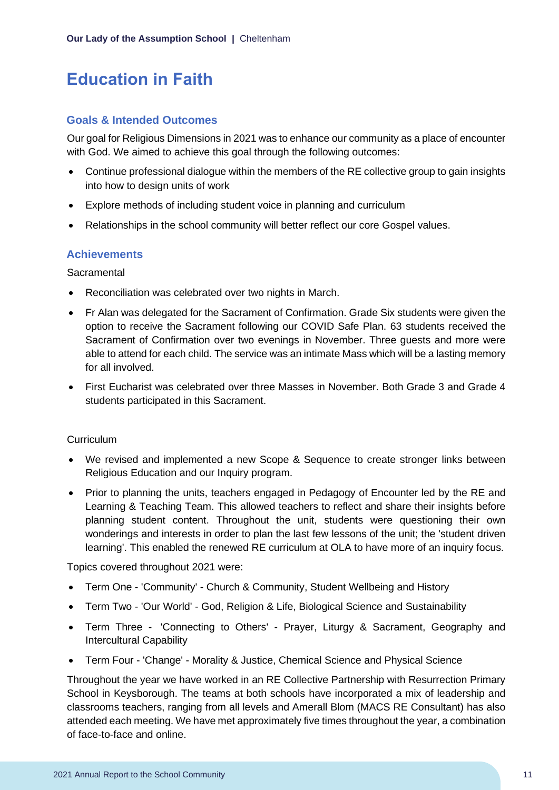## <span id="page-11-0"></span>**Education in Faith**

#### **Goals & Intended Outcomes**

Our goal for Religious Dimensions in 2021 was to enhance our community as a place of encounter with God. We aimed to achieve this goal through the following outcomes:

- Continue professional dialogue within the members of the RE collective group to gain insights into how to design units of work
- Explore methods of including student voice in planning and curriculum
- Relationships in the school community will better reflect our core Gospel values.

#### **Achievements**

**Sacramental** 

- Reconciliation was celebrated over two nights in March.
- Fr Alan was delegated for the Sacrament of Confirmation. Grade Six students were given the option to receive the Sacrament following our COVID Safe Plan. 63 students received the Sacrament of Confirmation over two evenings in November. Three guests and more were able to attend for each child. The service was an intimate Mass which will be a lasting memory for all involved.
- First Eucharist was celebrated over three Masses in November. Both Grade 3 and Grade 4 students participated in this Sacrament.

#### **Curriculum**

- We revised and implemented a new Scope & Sequence to create stronger links between Religious Education and our Inquiry program.
- Prior to planning the units, teachers engaged in Pedagogy of Encounter led by the RE and Learning & Teaching Team. This allowed teachers to reflect and share their insights before planning student content. Throughout the unit, students were questioning their own wonderings and interests in order to plan the last few lessons of the unit; the 'student driven learning'. This enabled the renewed RE curriculum at OLA to have more of an inquiry focus.

Topics covered throughout 2021 were:

- Term One 'Community' Church & Community, Student Wellbeing and History
- Term Two 'Our World' God, Religion & Life, Biological Science and Sustainability
- Term Three 'Connecting to Others' Prayer, Liturgy & Sacrament, Geography and Intercultural Capability
- Term Four 'Change' Morality & Justice, Chemical Science and Physical Science

Throughout the year we have worked in an RE Collective Partnership with Resurrection Primary School in Keysborough. The teams at both schools have incorporated a mix of leadership and classrooms teachers, ranging from all levels and Amerall Blom (MACS RE Consultant) has also attended each meeting. We have met approximately five times throughout the year, a combination of face-to-face and online.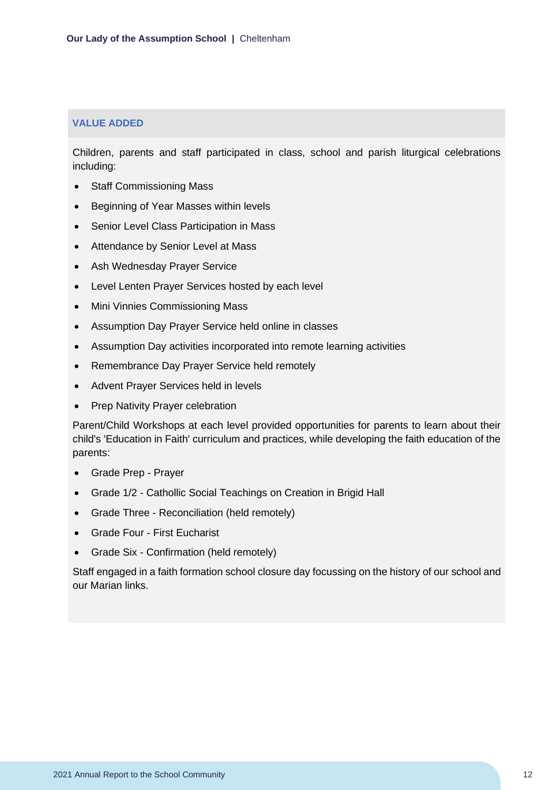#### **VALUE ADDED**

Children, parents and staff participated in class, school and parish liturgical celebrations including:

- Staff Commissioning Mass
- Beginning of Year Masses within levels
- Senior Level Class Participation in Mass
- Attendance by Senior Level at Mass
- Ash Wednesday Prayer Service
- Level Lenten Prayer Services hosted by each level
- Mini Vinnies Commissioning Mass
- Assumption Day Prayer Service held online in classes
- Assumption Day activities incorporated into remote learning activities
- Remembrance Day Prayer Service held remotely
- Advent Prayer Services held in levels
- Prep Nativity Prayer celebration

Parent/Child Workshops at each level provided opportunities for parents to learn about their child's 'Education in Faith' curriculum and practices, while developing the faith education of the parents:

- Grade Prep Prayer
- Grade 1/2 Cathollic Social Teachings on Creation in Brigid Hall
- Grade Three Reconciliation (held remotely)
- Grade Four First Eucharist
- Grade Six Confirmation (held remotely)

Staff engaged in a faith formation school closure day focussing on the history of our school and our Marian links.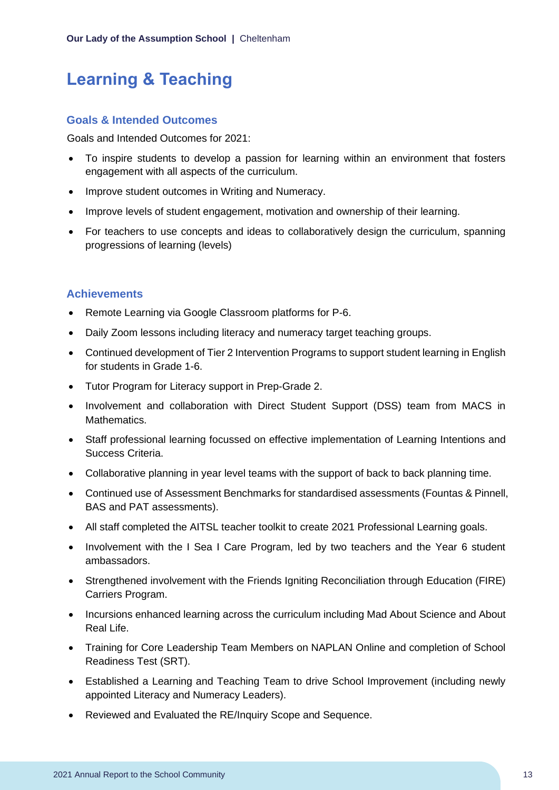## <span id="page-13-0"></span>**Learning & Teaching**

#### **Goals & Intended Outcomes**

Goals and Intended Outcomes for 2021:

- To inspire students to develop a passion for learning within an environment that fosters engagement with all aspects of the curriculum.
- Improve student outcomes in Writing and Numeracy.
- Improve levels of student engagement, motivation and ownership of their learning.
- For teachers to use concepts and ideas to collaboratively design the curriculum, spanning progressions of learning (levels)

#### **Achievements**

- Remote Learning via Google Classroom platforms for P-6.
- Daily Zoom lessons including literacy and numeracy target teaching groups.
- Continued development of Tier 2 Intervention Programs to support student learning in English for students in Grade 1-6.
- Tutor Program for Literacy support in Prep-Grade 2.
- Involvement and collaboration with Direct Student Support (DSS) team from MACS in Mathematics.
- Staff professional learning focussed on effective implementation of Learning Intentions and Success Criteria.
- Collaborative planning in year level teams with the support of back to back planning time.
- Continued use of Assessment Benchmarks for standardised assessments (Fountas & Pinnell, BAS and PAT assessments).
- All staff completed the AITSL teacher toolkit to create 2021 Professional Learning goals.
- Involvement with the I Sea I Care Program, led by two teachers and the Year 6 student ambassadors.
- Strengthened involvement with the Friends Igniting Reconciliation through Education (FIRE) Carriers Program.
- Incursions enhanced learning across the curriculum including Mad About Science and About Real Life.
- Training for Core Leadership Team Members on NAPLAN Online and completion of School Readiness Test (SRT).
- Established a Learning and Teaching Team to drive School Improvement (including newly appointed Literacy and Numeracy Leaders).
- Reviewed and Evaluated the RE/Inquiry Scope and Sequence.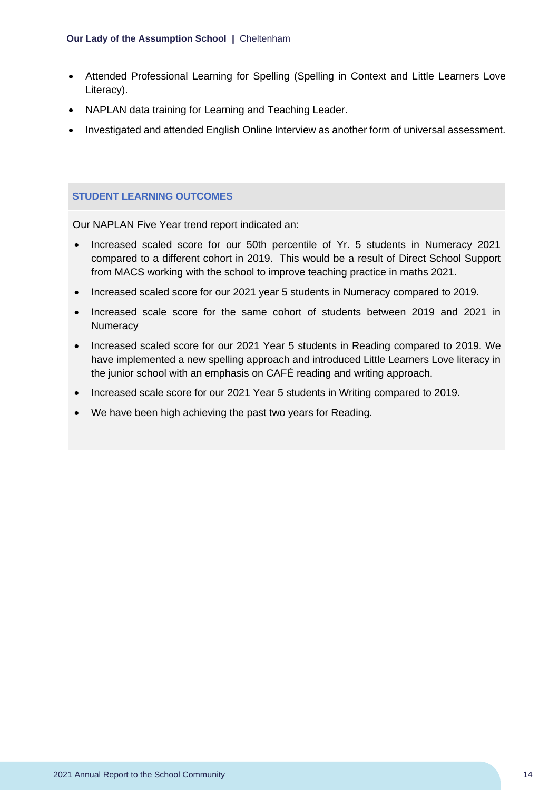- Attended Professional Learning for Spelling (Spelling in Context and Little Learners Love Literacy).
- NAPLAN data training for Learning and Teaching Leader.
- Investigated and attended English Online Interview as another form of universal assessment.

#### **STUDENT LEARNING OUTCOMES**

Our NAPLAN Five Year trend report indicated an:

- Increased scaled score for our 50th percentile of Yr. 5 students in Numeracy 2021 compared to a different cohort in 2019. This would be a result of Direct School Support from MACS working with the school to improve teaching practice in maths 2021.
- Increased scaled score for our 2021 year 5 students in Numeracy compared to 2019.
- Increased scale score for the same cohort of students between 2019 and 2021 in **Numeracy**
- Increased scaled score for our 2021 Year 5 students in Reading compared to 2019. We have implemented a new spelling approach and introduced Little Learners Love literacy in the junior school with an emphasis on CAFÉ reading and writing approach.
- Increased scale score for our 2021 Year 5 students in Writing compared to 2019.
- We have been high achieving the past two years for Reading.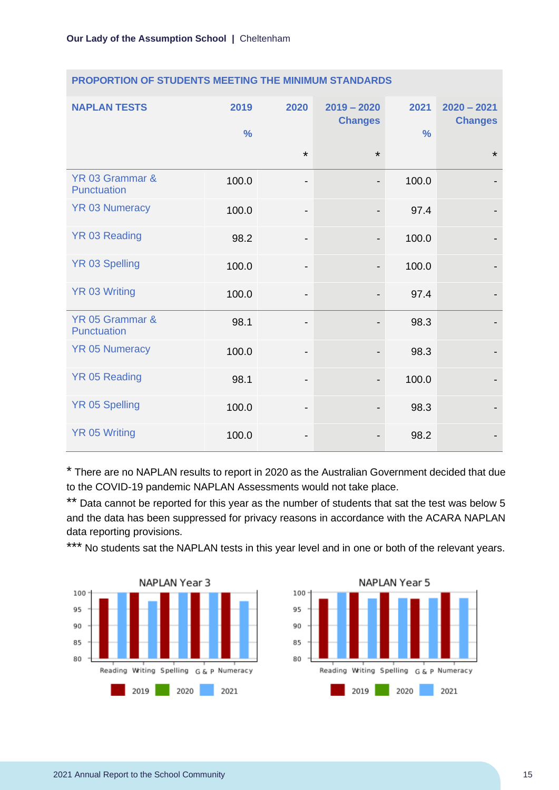| <b>NAPLAN TESTS</b>                   | 2019<br>$\frac{0}{0}$ | 2020                         | $2019 - 2020$<br><b>Changes</b> | 2021<br>$\frac{0}{0}$ | $2020 - 2021$<br><b>Changes</b> |
|---------------------------------------|-----------------------|------------------------------|---------------------------------|-----------------------|---------------------------------|
|                                       |                       | $\star$                      | $\star$                         |                       | $\star$                         |
| YR 03 Grammar &<br><b>Punctuation</b> | 100.0                 | $\overline{\phantom{a}}$     | $\overline{\phantom{a}}$        | 100.0                 |                                 |
| <b>YR 03 Numeracy</b>                 | 100.0                 | $\overline{\phantom{0}}$     | $\overline{\phantom{a}}$        | 97.4                  |                                 |
| YR 03 Reading                         | 98.2                  | $\overline{\phantom{a}}$     | $\overline{\phantom{a}}$        | 100.0                 |                                 |
| <b>YR 03 Spelling</b>                 | 100.0                 | -                            | $\overline{\phantom{a}}$        | 100.0                 |                                 |
| <b>YR 03 Writing</b>                  | 100.0                 | -                            | $\qquad \qquad \blacksquare$    | 97.4                  |                                 |
| YR 05 Grammar &<br><b>Punctuation</b> | 98.1                  | $\overline{\phantom{a}}$     |                                 | 98.3                  |                                 |
| <b>YR 05 Numeracy</b>                 | 100.0                 | $\qquad \qquad \blacksquare$ |                                 | 98.3                  |                                 |
| <b>YR 05 Reading</b>                  | 98.1                  | $\overline{\phantom{a}}$     | $\overline{\phantom{a}}$        | 100.0                 |                                 |
| <b>YR 05 Spelling</b>                 | 100.0                 | $\qquad \qquad \blacksquare$ |                                 | 98.3                  |                                 |
| <b>YR 05 Writing</b>                  | 100.0                 | -                            |                                 | 98.2                  |                                 |

#### **PROPORTION OF STUDENTS MEETING THE MINIMUM STANDARDS**

\* There are no NAPLAN results to report in 2020 as the Australian Government decided that due to the COVID-19 pandemic NAPLAN Assessments would not take place.

\*\* Data cannot be reported for this year as the number of students that sat the test was below 5 and the data has been suppressed for privacy reasons in accordance with the ACARA NAPLAN data reporting provisions.

\*\*\* No students sat the NAPLAN tests in this year level and in one or both of the relevant years.



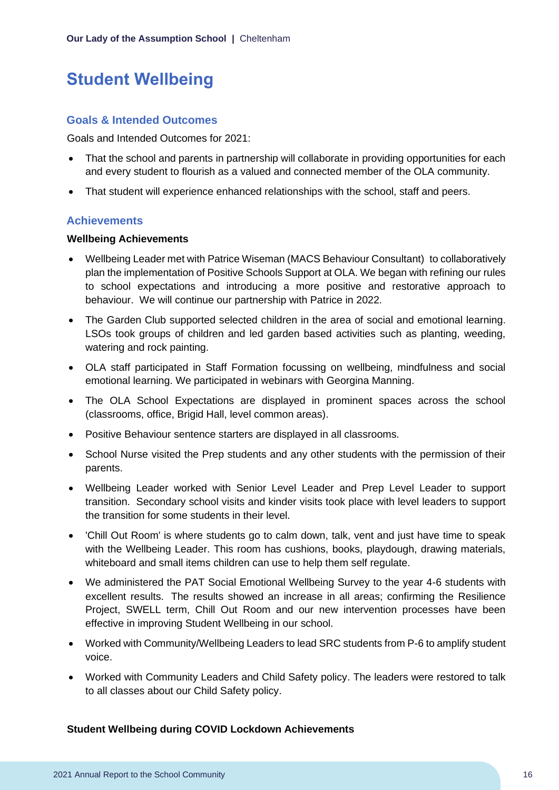## <span id="page-16-0"></span>**Student Wellbeing**

#### **Goals & Intended Outcomes**

Goals and Intended Outcomes for 2021:

- That the school and parents in partnership will collaborate in providing opportunities for each and every student to flourish as a valued and connected member of the OLA community.
- That student will experience enhanced relationships with the school, staff and peers.

#### **Achievements**

#### **Wellbeing Achievements**

- Wellbeing Leader met with Patrice Wiseman (MACS Behaviour Consultant) to collaboratively plan the implementation of Positive Schools Support at OLA. We began with refining our rules to school expectations and introducing a more positive and restorative approach to behaviour. We will continue our partnership with Patrice in 2022.
- The Garden Club supported selected children in the area of social and emotional learning. LSOs took groups of children and led garden based activities such as planting, weeding, watering and rock painting.
- OLA staff participated in Staff Formation focussing on wellbeing, mindfulness and social emotional learning. We participated in webinars with Georgina Manning.
- The OLA School Expectations are displayed in prominent spaces across the school (classrooms, office, Brigid Hall, level common areas).
- Positive Behaviour sentence starters are displayed in all classrooms.
- School Nurse visited the Prep students and any other students with the permission of their parents.
- Wellbeing Leader worked with Senior Level Leader and Prep Level Leader to support transition. Secondary school visits and kinder visits took place with level leaders to support the transition for some students in their level.
- 'Chill Out Room' is where students go to calm down, talk, vent and just have time to speak with the Wellbeing Leader. This room has cushions, books, playdough, drawing materials, whiteboard and small items children can use to help them self regulate.
- We administered the PAT Social Emotional Wellbeing Survey to the year 4-6 students with excellent results. The results showed an increase in all areas; confirming the Resilience Project, SWELL term, Chill Out Room and our new intervention processes have been effective in improving Student Wellbeing in our school.
- Worked with Community/Wellbeing Leaders to lead SRC students from P-6 to amplify student voice.
- Worked with Community Leaders and Child Safety policy. The leaders were restored to talk to all classes about our Child Safety policy.

#### **Student Wellbeing during COVID Lockdown Achievements**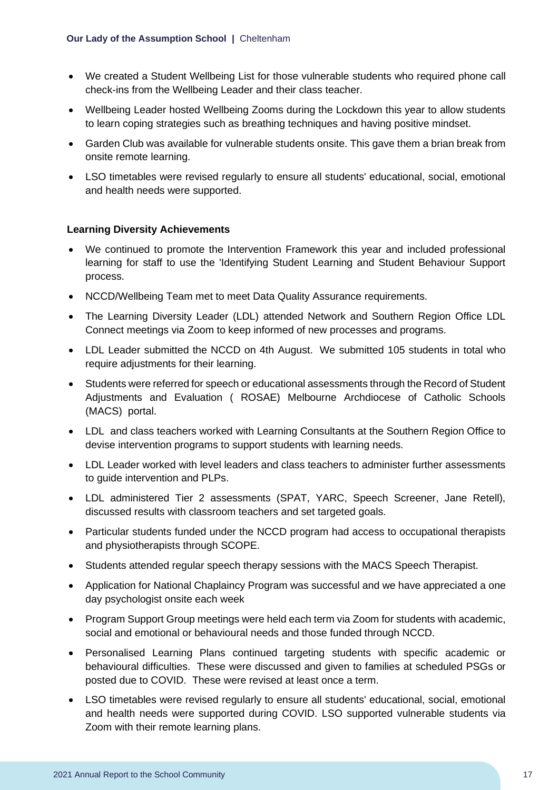- We created a Student Wellbeing List for those vulnerable students who required phone call check-ins from the Wellbeing Leader and their class teacher.
- Wellbeing Leader hosted Wellbeing Zooms during the Lockdown this year to allow students to learn coping strategies such as breathing techniques and having positive mindset.
- Garden Club was available for vulnerable students onsite. This gave them a brian break from onsite remote learning.
- LSO timetables were revised regularly to ensure all students' educational, social, emotional and health needs were supported.

#### **Learning Diversity Achievements**

- We continued to promote the Intervention Framework this year and included professional learning for staff to use the 'Identifying Student Learning and Student Behaviour Support process.
- NCCD/Wellbeing Team met to meet Data Quality Assurance requirements.
- The Learning Diversity Leader (LDL) attended Network and Southern Region Office LDL Connect meetings via Zoom to keep informed of new processes and programs.
- LDL Leader submitted the NCCD on 4th August. We submitted 105 students in total who require adjustments for their learning.
- Students were referred for speech or educational assessments through the Record of Student Adjustments and Evaluation ( ROSAE) Melbourne Archdiocese of Catholic Schools (MACS) portal.
- LDL and class teachers worked with Learning Consultants at the Southern Region Office to devise intervention programs to support students with learning needs.
- LDL Leader worked with level leaders and class teachers to administer further assessments to guide intervention and PLPs.
- LDL administered Tier 2 assessments (SPAT, YARC, Speech Screener, Jane Retell), discussed results with classroom teachers and set targeted goals.
- Particular students funded under the NCCD program had access to occupational therapists and physiotherapists through SCOPE.
- Students attended regular speech therapy sessions with the MACS Speech Therapist.
- Application for National Chaplaincy Program was successful and we have appreciated a one day psychologist onsite each week
- Program Support Group meetings were held each term via Zoom for students with academic, social and emotional or behavioural needs and those funded through NCCD.
- Personalised Learning Plans continued targeting students with specific academic or behavioural difficulties. These were discussed and given to families at scheduled PSGs or posted due to COVID. These were revised at least once a term.
- LSO timetables were revised regularly to ensure all students' educational, social, emotional and health needs were supported during COVID. LSO supported vulnerable students via Zoom with their remote learning plans.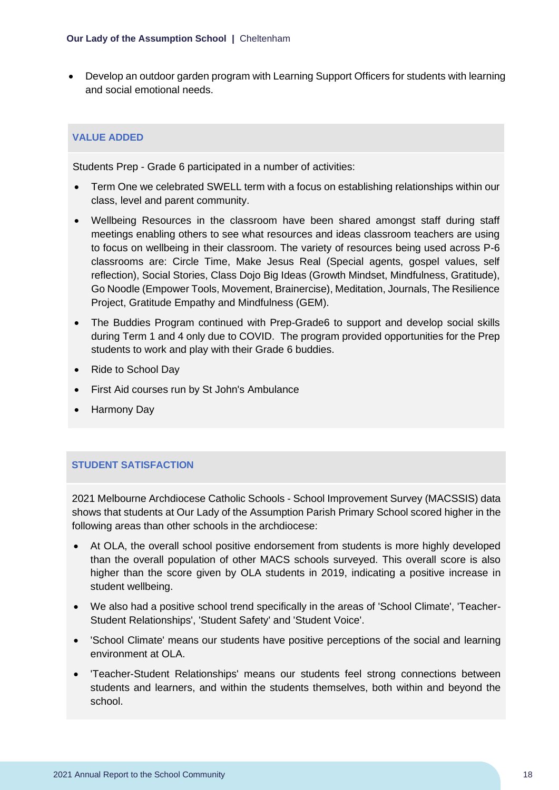• Develop an outdoor garden program with Learning Support Officers for students with learning and social emotional needs.

#### **VALUE ADDED**

Students Prep - Grade 6 participated in a number of activities:

- Term One we celebrated SWELL term with a focus on establishing relationships within our class, level and parent community.
- Wellbeing Resources in the classroom have been shared amongst staff during staff meetings enabling others to see what resources and ideas classroom teachers are using to focus on wellbeing in their classroom. The variety of resources being used across P-6 classrooms are: Circle Time, Make Jesus Real (Special agents, gospel values, self reflection), Social Stories, Class Dojo Big Ideas (Growth Mindset, Mindfulness, Gratitude), Go Noodle (Empower Tools, Movement, Brainercise), Meditation, Journals, The Resilience Project, Gratitude Empathy and Mindfulness (GEM).
- The Buddies Program continued with Prep-Grade6 to support and develop social skills during Term 1 and 4 only due to COVID. The program provided opportunities for the Prep students to work and play with their Grade 6 buddies.
- Ride to School Day
- First Aid courses run by St John's Ambulance
- Harmony Day

#### **STUDENT SATISFACTION**

2021 Melbourne Archdiocese Catholic Schools - School Improvement Survey (MACSSIS) data shows that students at Our Lady of the Assumption Parish Primary School scored higher in the following areas than other schools in the archdiocese:

- At OLA, the overall school positive endorsement from students is more highly developed than the overall population of other MACS schools surveyed. This overall score is also higher than the score given by OLA students in 2019, indicating a positive increase in student wellbeing.
- We also had a positive school trend specifically in the areas of 'School Climate', 'Teacher-Student Relationships', 'Student Safety' and 'Student Voice'.
- 'School Climate' means our students have positive perceptions of the social and learning environment at OLA.
- 'Teacher-Student Relationships' means our students feel strong connections between students and learners, and within the students themselves, both within and beyond the school.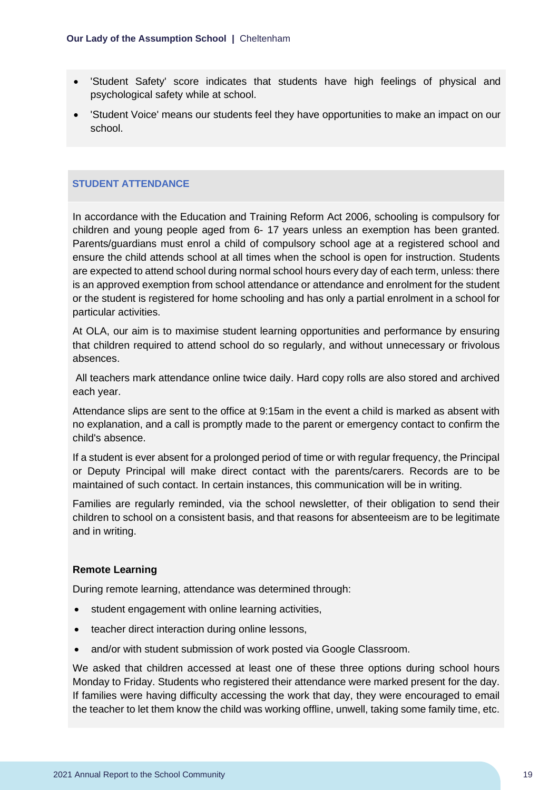- 'Student Safety' score indicates that students have high feelings of physical and psychological safety while at school.
- 'Student Voice' means our students feel they have opportunities to make an impact on our school.

#### **STUDENT ATTENDANCE**

In accordance with the Education and Training Reform Act 2006, schooling is compulsory for children and young people aged from 6- 17 years unless an exemption has been granted. Parents/guardians must enrol a child of compulsory school age at a registered school and ensure the child attends school at all times when the school is open for instruction. Students are expected to attend school during normal school hours every day of each term, unless: there is an approved exemption from school attendance or attendance and enrolment for the student or the student is registered for home schooling and has only a partial enrolment in a school for particular activities.

At OLA, our aim is to maximise student learning opportunities and performance by ensuring that children required to attend school do so regularly, and without unnecessary or frivolous absences.

All teachers mark attendance online twice daily. Hard copy rolls are also stored and archived each year.

Attendance slips are sent to the office at 9:15am in the event a child is marked as absent with no explanation, and a call is promptly made to the parent or emergency contact to confirm the child's absence.

If a student is ever absent for a prolonged period of time or with regular frequency, the Principal or Deputy Principal will make direct contact with the parents/carers. Records are to be maintained of such contact. In certain instances, this communication will be in writing.

Families are regularly reminded, via the school newsletter, of their obligation to send their children to school on a consistent basis, and that reasons for absenteeism are to be legitimate and in writing.

#### **Remote Learning**

During remote learning, attendance was determined through:

- student engagement with online learning activities,
- teacher direct interaction during online lessons,
- and/or with student submission of work posted via Google Classroom.

We asked that children accessed at least one of these three options during school hours Monday to Friday. Students who registered their attendance were marked present for the day. If families were having difficulty accessing the work that day, they were encouraged to email the teacher to let them know the child was working offline, unwell, taking some family time, etc.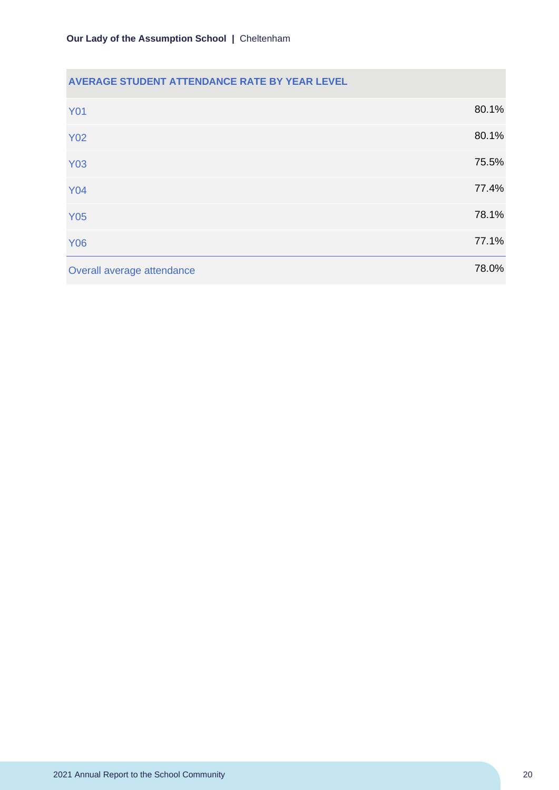#### **AVERAGE STUDENT ATTENDANCE RATE BY YEAR LEVEL**

| <b>Y01</b>                 | 80.1% |
|----------------------------|-------|
| <b>Y02</b>                 | 80.1% |
| <b>Y03</b>                 | 75.5% |
| <b>Y04</b>                 | 77.4% |
| <b>Y05</b>                 | 78.1% |
| <b>Y06</b>                 | 77.1% |
| Overall average attendance | 78.0% |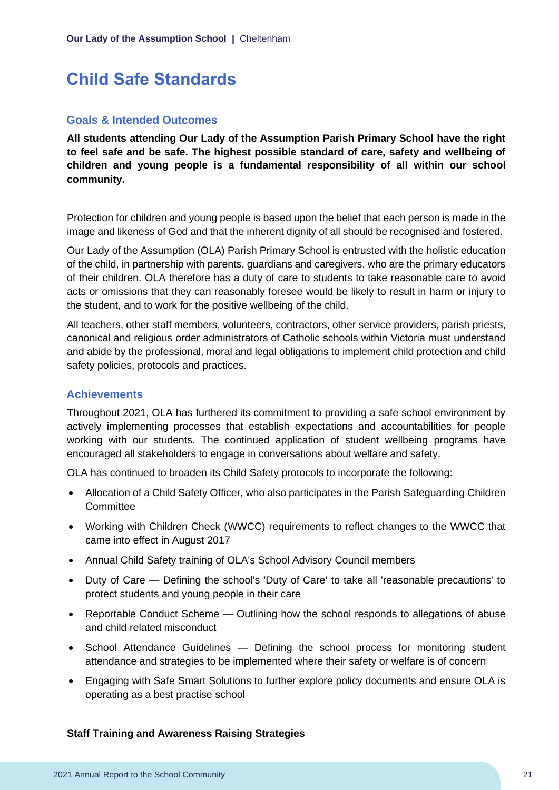## <span id="page-21-0"></span>**Child Safe Standards**

#### **Goals & Intended Outcomes**

**All students attending Our Lady of the Assumption Parish Primary School have the right to feel safe and be safe. The highest possible standard of care, safety and wellbeing of children and young people is a fundamental responsibility of all within our school community.** 

Protection for children and young people is based upon the belief that each person is made in the image and likeness of God and that the inherent dignity of all should be recognised and fostered.

Our Lady of the Assumption (OLA) Parish Primary School is entrusted with the holistic education of the child, in partnership with parents, guardians and caregivers, who are the primary educators of their children. OLA therefore has a duty of care to students to take reasonable care to avoid acts or omissions that they can reasonably foresee would be likely to result in harm or injury to the student, and to work for the positive wellbeing of the child.

All teachers, other staff members, volunteers, contractors, other service providers, parish priests, canonical and religious order administrators of Catholic schools within Victoria must understand and abide by the professional, moral and legal obligations to implement child protection and child safety policies, protocols and practices.

#### **Achievements**

Throughout 2021, OLA has furthered its commitment to providing a safe school environment by actively implementing processes that establish expectations and accountabilities for people working with our students. The continued application of student wellbeing programs have encouraged all stakeholders to engage in conversations about welfare and safety.

OLA has continued to broaden its Child Safety protocols to incorporate the following:

- Allocation of a Child Safety Officer, who also participates in the Parish Safeguarding Children **Committee**
- Working with Children Check (WWCC) requirements to reflect changes to the WWCC that came into effect in August 2017
- Annual Child Safety training of OLA's School Advisory Council members
- Duty of Care Defining the school's 'Duty of Care' to take all 'reasonable precautions' to protect students and young people in their care
- Reportable Conduct Scheme Outlining how the school responds to allegations of abuse and child related misconduct
- School Attendance Guidelines Defining the school process for monitoring student attendance and strategies to be implemented where their safety or welfare is of concern
- Engaging with Safe Smart Solutions to further explore policy documents and ensure OLA is operating as a best practise school

#### **Staff Training and Awareness Raising Strategies**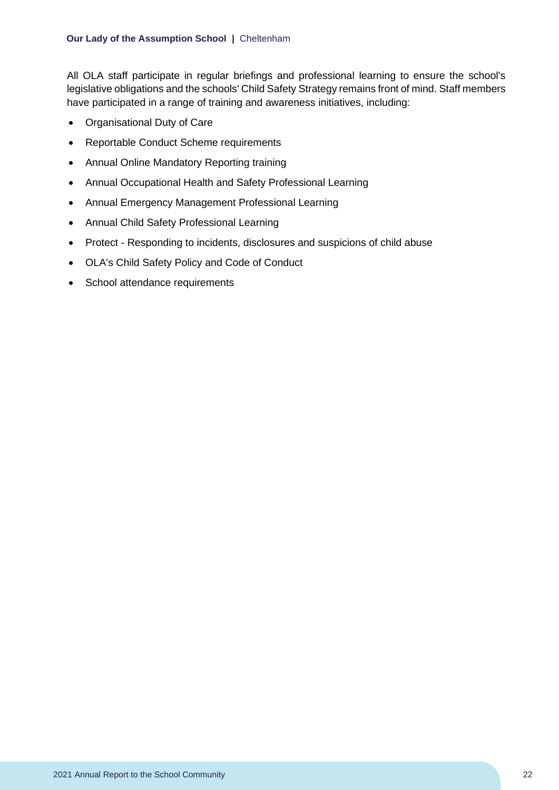All OLA staff participate in regular briefings and professional learning to ensure the school's legislative obligations and the schools' Child Safety Strategy remains front of mind. Staff members have participated in a range of training and awareness initiatives, including:

- Organisational Duty of Care
- Reportable Conduct Scheme requirements
- Annual Online Mandatory Reporting training
- Annual Occupational Health and Safety Professional Learning
- Annual Emergency Management Professional Learning
- Annual Child Safety Professional Learning
- Protect Responding to incidents, disclosures and suspicions of child abuse
- OLA's Child Safety Policy and Code of Conduct
- School attendance requirements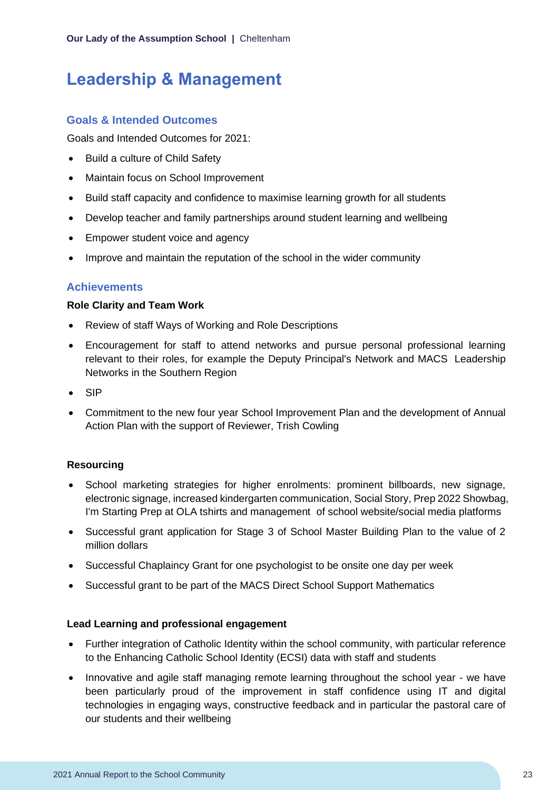## <span id="page-23-0"></span>**Leadership & Management**

#### **Goals & Intended Outcomes**

Goals and Intended Outcomes for 2021:

- Build a culture of Child Safety
- Maintain focus on School Improvement
- Build staff capacity and confidence to maximise learning growth for all students
- Develop teacher and family partnerships around student learning and wellbeing
- Empower student voice and agency
- Improve and maintain the reputation of the school in the wider community

#### **Achievements**

#### **Role Clarity and Team Work**

- Review of staff Ways of Working and Role Descriptions
- Encouragement for staff to attend networks and pursue personal professional learning relevant to their roles, for example the Deputy Principal's Network and MACS Leadership Networks in the Southern Region
- SIP
- Commitment to the new four year School Improvement Plan and the development of Annual Action Plan with the support of Reviewer, Trish Cowling

#### **Resourcing**

- School marketing strategies for higher enrolments: prominent billboards, new signage, electronic signage, increased kindergarten communication, Social Story, Prep 2022 Showbag, I'm Starting Prep at OLA tshirts and management of school website/social media platforms
- Successful grant application for Stage 3 of School Master Building Plan to the value of 2 million dollars
- Successful Chaplaincy Grant for one psychologist to be onsite one day per week
- Successful grant to be part of the MACS Direct School Support Mathematics

#### **Lead Learning and professional engagement**

- Further integration of Catholic Identity within the school community, with particular reference to the Enhancing Catholic School Identity (ECSI) data with staff and students
- Innovative and agile staff managing remote learning throughout the school year we have been particularly proud of the improvement in staff confidence using IT and digital technologies in engaging ways, constructive feedback and in particular the pastoral care of our students and their wellbeing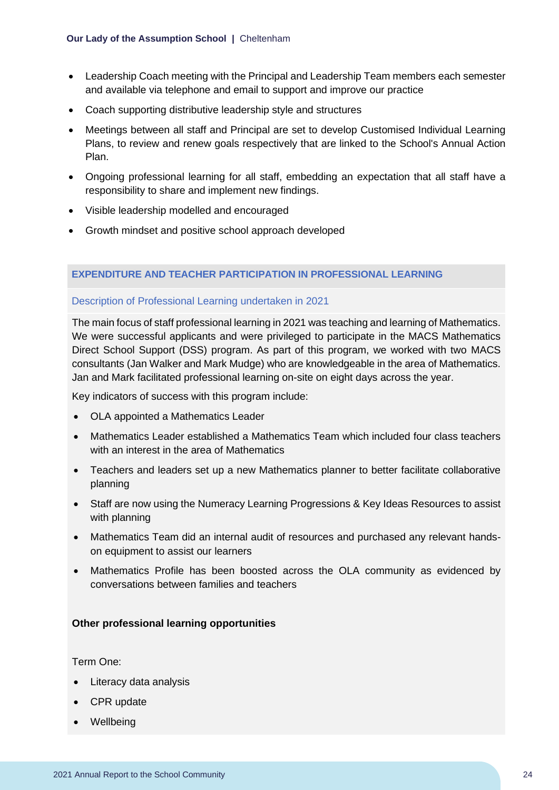- Leadership Coach meeting with the Principal and Leadership Team members each semester and available via telephone and email to support and improve our practice
- Coach supporting distributive leadership style and structures
- Meetings between all staff and Principal are set to develop Customised Individual Learning Plans, to review and renew goals respectively that are linked to the School's Annual Action Plan.
- Ongoing professional learning for all staff, embedding an expectation that all staff have a responsibility to share and implement new findings.
- Visible leadership modelled and encouraged
- Growth mindset and positive school approach developed

#### **EXPENDITURE AND TEACHER PARTICIPATION IN PROFESSIONAL LEARNING**

#### Description of Professional Learning undertaken in 2021

The main focus of staff professional learning in 2021 was teaching and learning of Mathematics. We were successful applicants and were privileged to participate in the MACS Mathematics Direct School Support (DSS) program. As part of this program, we worked with two MACS consultants (Jan Walker and Mark Mudge) who are knowledgeable in the area of Mathematics. Jan and Mark facilitated professional learning on-site on eight days across the year.

Key indicators of success with this program include:

- OLA appointed a Mathematics Leader
- Mathematics Leader established a Mathematics Team which included four class teachers with an interest in the area of Mathematics
- Teachers and leaders set up a new Mathematics planner to better facilitate collaborative planning
- Staff are now using the Numeracy Learning Progressions & Key Ideas Resources to assist with planning
- Mathematics Team did an internal audit of resources and purchased any relevant handson equipment to assist our learners
- Mathematics Profile has been boosted across the OLA community as evidenced by conversations between families and teachers

#### **Other professional learning opportunities**

Term One:

- Literacy data analysis
- CPR update
- Wellbeing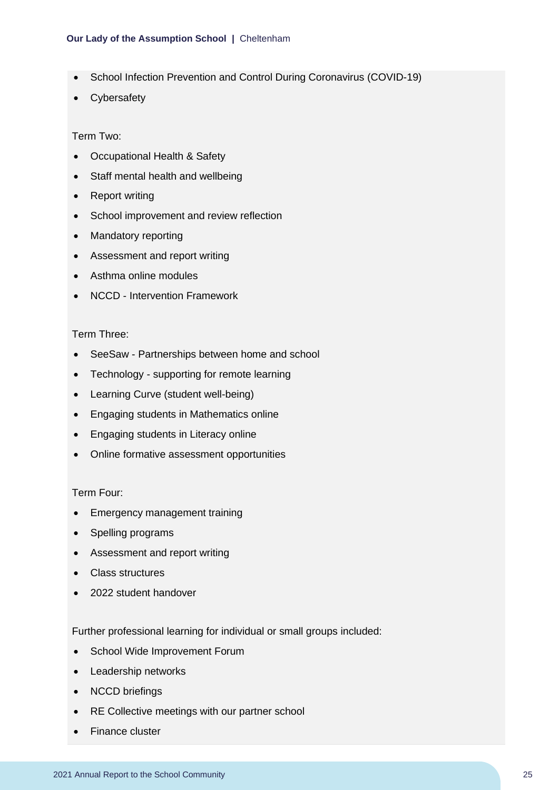#### **Our Lady of the Assumption School |** Cheltenham

- School Infection Prevention and Control During Coronavirus (COVID-19)
- Cybersafety

#### Term Two:

- Occupational Health & Safety
- Staff mental health and wellbeing
- Report writing
- School improvement and review reflection
- Mandatory reporting
- Assessment and report writing
- Asthma online modules
- NCCD Intervention Framework

#### Term Three:

- SeeSaw Partnerships between home and school
- Technology supporting for remote learning
- Learning Curve (student well-being)
- Engaging students in Mathematics online
- Engaging students in Literacy online
- Online formative assessment opportunities

#### Term Four:

- Emergency management training
- Spelling programs
- Assessment and report writing
- Class structures
- 2022 student handover

Further professional learning for individual or small groups included:

- School Wide Improvement Forum
- Leadership networks
- NCCD briefings
- RE Collective meetings with our partner school
- Finance cluster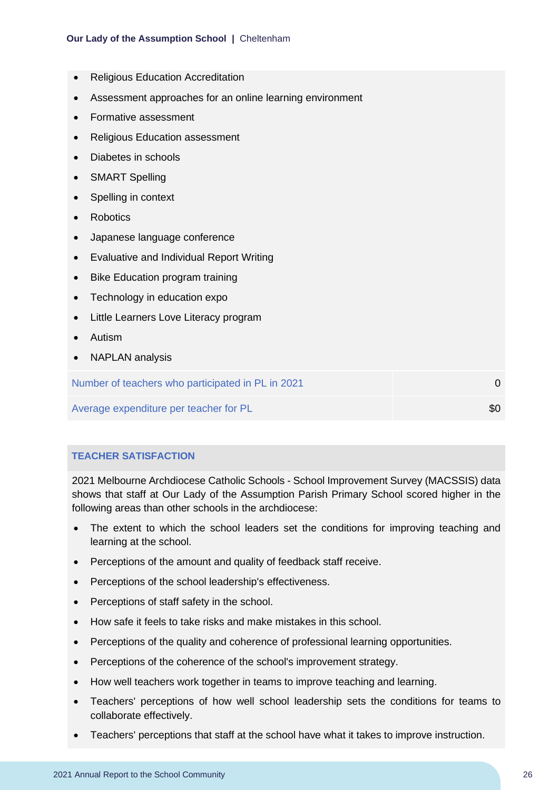- Religious Education Accreditation
- Assessment approaches for an online learning environment
- Formative assessment
- Religious Education assessment
- Diabetes in schools
- **SMART Spelling**
- Spelling in context
- Robotics
- Japanese language conference
- Evaluative and Individual Report Writing
- **Bike Education program training**
- Technology in education expo
- Little Learners Love Literacy program
- Autism
- NAPLAN analysis

Number of teachers who participated in PL in 2021 **Departicipated in PL in 2021 0** 

Average expenditure per teacher for PL  $\sim$  \$0

**TEACHER SATISFACTION**

2021 Melbourne Archdiocese Catholic Schools - School Improvement Survey (MACSSIS) data shows that staff at Our Lady of the Assumption Parish Primary School scored higher in the following areas than other schools in the archdiocese:

- The extent to which the school leaders set the conditions for improving teaching and learning at the school.
- Perceptions of the amount and quality of feedback staff receive.
- Perceptions of the school leadership's effectiveness.
- Perceptions of staff safety in the school.
- How safe it feels to take risks and make mistakes in this school.
- Perceptions of the quality and coherence of professional learning opportunities.
- Perceptions of the coherence of the school's improvement strategy.
- How well teachers work together in teams to improve teaching and learning.
- Teachers' perceptions of how well school leadership sets the conditions for teams to collaborate effectively.
- Teachers' perceptions that staff at the school have what it takes to improve instruction.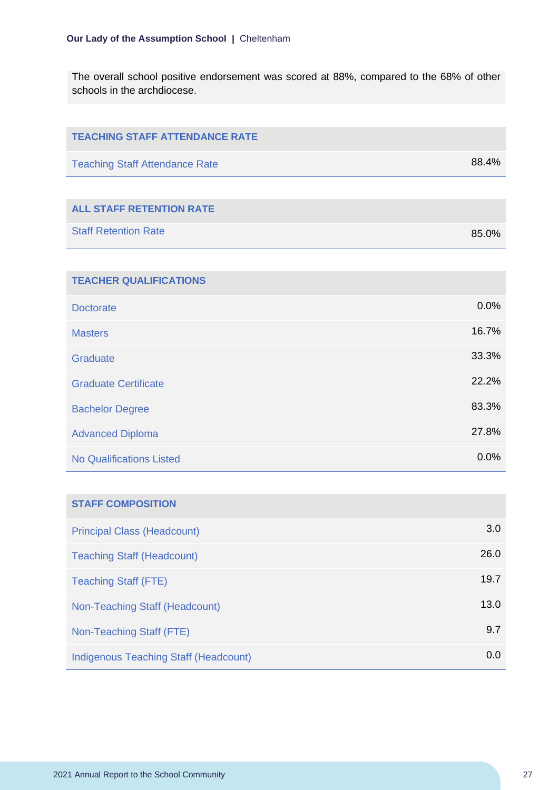The overall school positive endorsement was scored at 88%, compared to the 68% of other schools in the archdiocese.

| <b>TEACHING STAFF ATTENDANCE RATE</b>        |       |
|----------------------------------------------|-------|
| <b>Teaching Staff Attendance Rate</b>        | 88.4% |
|                                              |       |
| <b>ALL STAFF RETENTION RATE</b>              |       |
| <b>Staff Retention Rate</b>                  | 85.0% |
|                                              |       |
| <b>TEACHER QUALIFICATIONS</b>                |       |
| <b>Doctorate</b>                             | 0.0%  |
| <b>Masters</b>                               | 16.7% |
| <b>Graduate</b>                              | 33.3% |
| <b>Graduate Certificate</b>                  | 22.2% |
| <b>Bachelor Degree</b>                       | 83.3% |
| <b>Advanced Diploma</b>                      | 27.8% |
| <b>No Qualifications Listed</b>              | 0.0%  |
|                                              |       |
| <b>STAFF COMPOSITION</b>                     |       |
| <b>Principal Class (Headcount)</b>           | 3.0   |
| <b>Teaching Staff (Headcount)</b>            | 26.0  |
| <b>Teaching Staff (FTE)</b>                  | 19.7  |
| Non-Teaching Staff (Headcount)               | 13.0  |
| Non-Teaching Staff (FTE)                     | 9.7   |
| <b>Indigenous Teaching Staff (Headcount)</b> | 0.0   |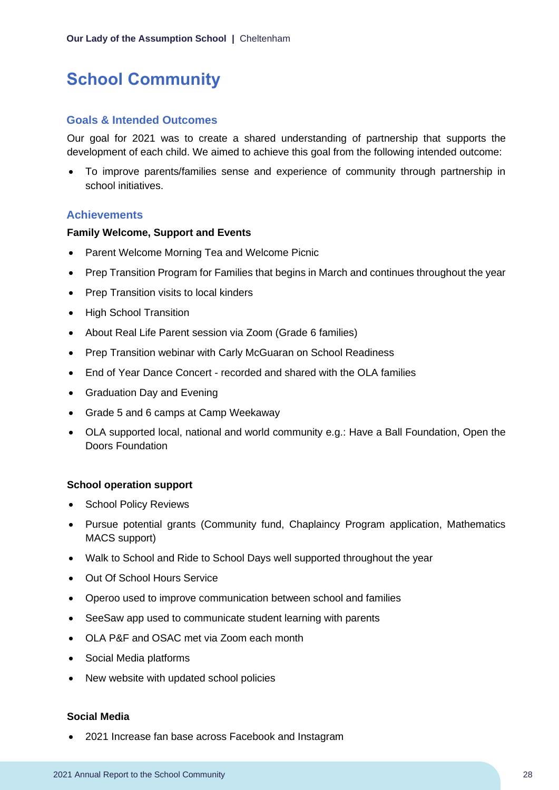## <span id="page-28-0"></span>**School Community**

#### **Goals & Intended Outcomes**

Our goal for 2021 was to create a shared understanding of partnership that supports the development of each child. We aimed to achieve this goal from the following intended outcome:

• To improve parents/families sense and experience of community through partnership in school initiatives.

#### **Achievements**

#### **Family Welcome, Support and Events**

- Parent Welcome Morning Tea and Welcome Picnic
- Prep Transition Program for Families that begins in March and continues throughout the year
- Prep Transition visits to local kinders
- High School Transition
- About Real Life Parent session via Zoom (Grade 6 families)
- Prep Transition webinar with Carly McGuaran on School Readiness
- End of Year Dance Concert recorded and shared with the OLA families
- Graduation Day and Evening
- Grade 5 and 6 camps at Camp Weekaway
- OLA supported local, national and world community e.g.: Have a Ball Foundation, Open the Doors Foundation

#### **School operation support**

- School Policy Reviews
- Pursue potential grants (Community fund, Chaplaincy Program application, Mathematics MACS support)
- Walk to School and Ride to School Days well supported throughout the year
- Out Of School Hours Service
- Operoo used to improve communication between school and families
- SeeSaw app used to communicate student learning with parents
- OLA P&F and OSAC met via Zoom each month
- Social Media platforms
- New website with updated school policies

#### **Social Media**

• 2021 Increase fan base across Facebook and Instagram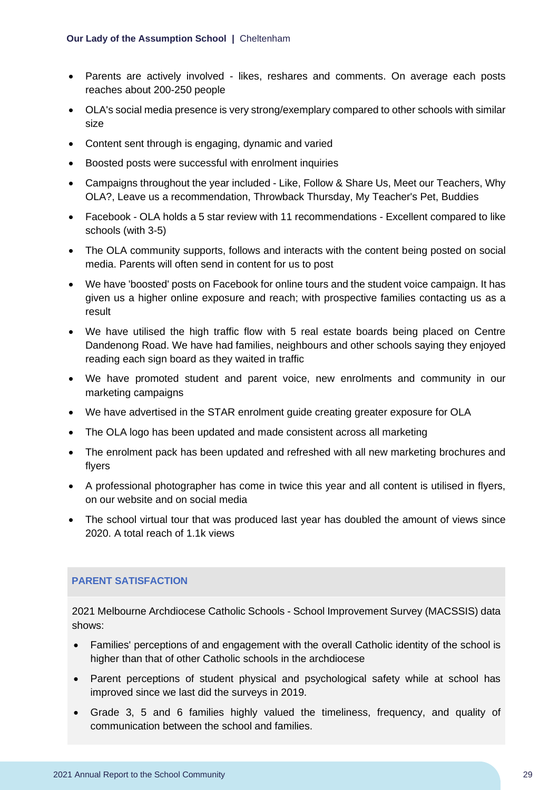- Parents are actively involved likes, reshares and comments. On average each posts reaches about 200-250 people
- OLA's social media presence is very strong/exemplary compared to other schools with similar size
- Content sent through is engaging, dynamic and varied
- Boosted posts were successful with enrolment inquiries
- Campaigns throughout the year included Like, Follow & Share Us, Meet our Teachers, Why OLA?, Leave us a recommendation, Throwback Thursday, My Teacher's Pet, Buddies
- Facebook OLA holds a 5 star review with 11 recommendations Excellent compared to like schools (with 3-5)
- The OLA community supports, follows and interacts with the content being posted on social media. Parents will often send in content for us to post
- We have 'boosted' posts on Facebook for online tours and the student voice campaign. It has given us a higher online exposure and reach; with prospective families contacting us as a result
- We have utilised the high traffic flow with 5 real estate boards being placed on Centre Dandenong Road. We have had families, neighbours and other schools saying they enjoyed reading each sign board as they waited in traffic
- We have promoted student and parent voice, new enrolments and community in our marketing campaigns
- We have advertised in the STAR enrolment guide creating greater exposure for OLA
- The OLA logo has been updated and made consistent across all marketing
- The enrolment pack has been updated and refreshed with all new marketing brochures and flyers
- A professional photographer has come in twice this year and all content is utilised in flyers, on our website and on social media
- The school virtual tour that was produced last year has doubled the amount of views since 2020. A total reach of 1.1k views

#### **PARENT SATISFACTION**

2021 Melbourne Archdiocese Catholic Schools - School Improvement Survey (MACSSIS) data shows:

- Families' perceptions of and engagement with the overall Catholic identity of the school is higher than that of other Catholic schools in the archdiocese
- Parent perceptions of student physical and psychological safety while at school has improved since we last did the surveys in 2019.
- Grade 3, 5 and 6 families highly valued the timeliness, frequency, and quality of communication between the school and families.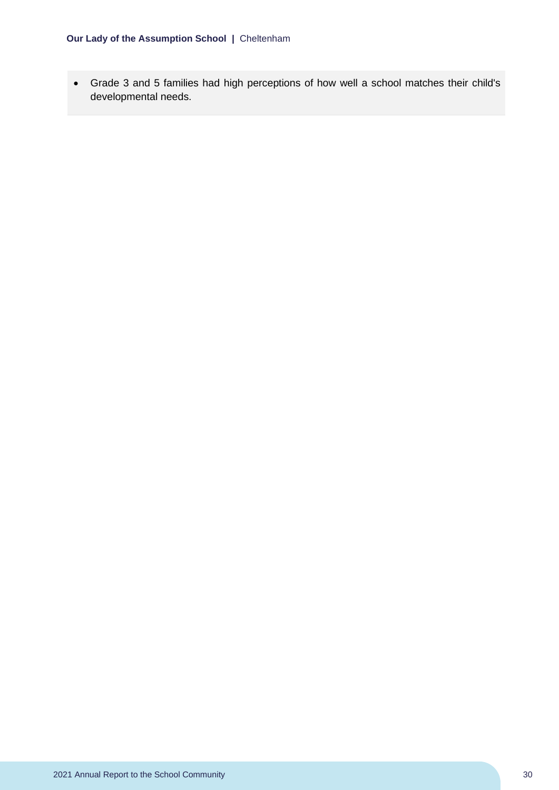• Grade 3 and 5 families had high perceptions of how well a school matches their child's developmental needs.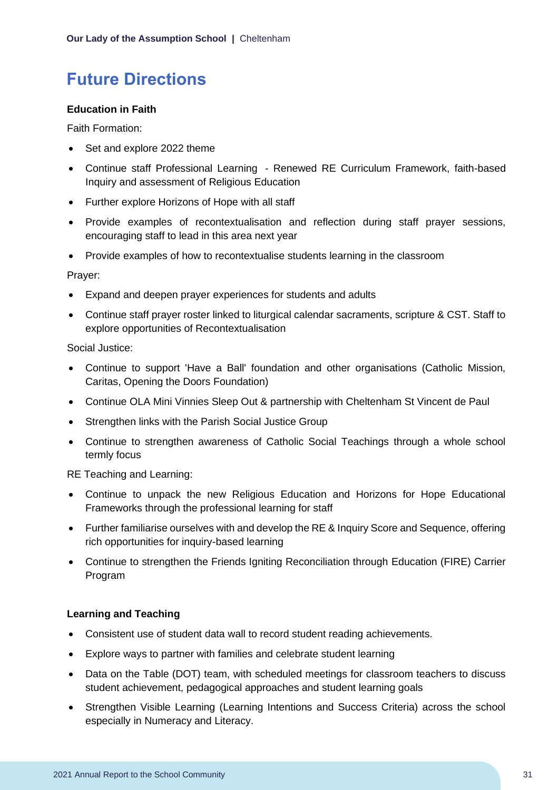## <span id="page-31-0"></span>**Future Directions**

#### **Education in Faith**

Faith Formation:

- Set and explore 2022 theme
- Continue staff Professional Learning Renewed RE Curriculum Framework, faith-based Inquiry and assessment of Religious Education
- Further explore Horizons of Hope with all staff
- Provide examples of recontextualisation and reflection during staff prayer sessions, encouraging staff to lead in this area next year
- Provide examples of how to recontextualise students learning in the classroom

Prayer:

- Expand and deepen prayer experiences for students and adults
- Continue staff prayer roster linked to liturgical calendar sacraments, scripture & CST. Staff to explore opportunities of Recontextualisation

Social Justice:

- Continue to support 'Have a Ball' foundation and other organisations (Catholic Mission, Caritas, Opening the Doors Foundation)
- Continue OLA Mini Vinnies Sleep Out & partnership with Cheltenham St Vincent de Paul
- Strengthen links with the Parish Social Justice Group
- Continue to strengthen awareness of Catholic Social Teachings through a whole school termly focus

RE Teaching and Learning:

- Continue to unpack the new Religious Education and Horizons for Hope Educational Frameworks through the professional learning for staff
- Further familiarise ourselves with and develop the RE & Inquiry Score and Sequence, offering rich opportunities for inquiry-based learning
- Continue to strengthen the Friends Igniting Reconciliation through Education (FIRE) Carrier Program

#### **Learning and Teaching**

- Consistent use of student data wall to record student reading achievements.
- Explore ways to partner with families and celebrate student learning
- Data on the Table (DOT) team, with scheduled meetings for classroom teachers to discuss student achievement, pedagogical approaches and student learning goals
- Strengthen Visible Learning (Learning Intentions and Success Criteria) across the school especially in Numeracy and Literacy.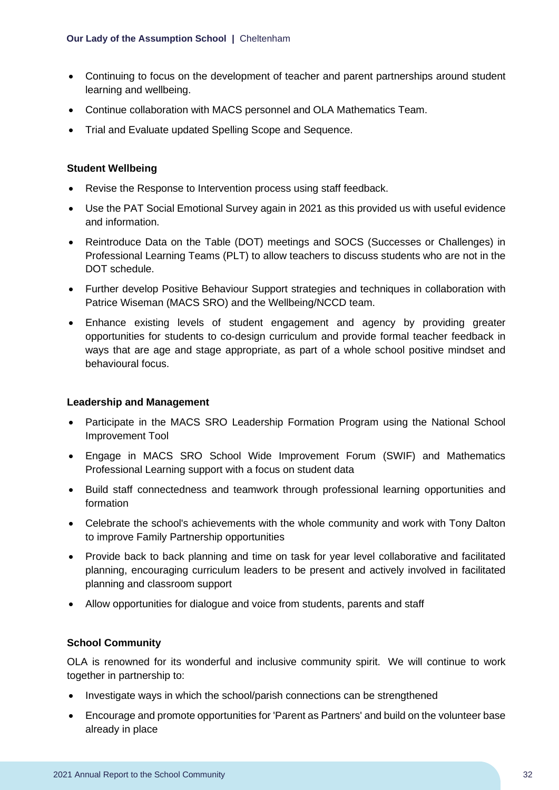- Continuing to focus on the development of teacher and parent partnerships around student learning and wellbeing.
- Continue collaboration with MACS personnel and OLA Mathematics Team.
- Trial and Evaluate updated Spelling Scope and Sequence.

#### **Student Wellbeing**

- Revise the Response to Intervention process using staff feedback.
- Use the PAT Social Emotional Survey again in 2021 as this provided us with useful evidence and information.
- Reintroduce Data on the Table (DOT) meetings and SOCS (Successes or Challenges) in Professional Learning Teams (PLT) to allow teachers to discuss students who are not in the DOT schedule.
- Further develop Positive Behaviour Support strategies and techniques in collaboration with Patrice Wiseman (MACS SRO) and the Wellbeing/NCCD team.
- Enhance existing levels of student engagement and agency by providing greater opportunities for students to co-design curriculum and provide formal teacher feedback in ways that are age and stage appropriate, as part of a whole school positive mindset and behavioural focus.

#### **Leadership and Management**

- Participate in the MACS SRO Leadership Formation Program using the National School Improvement Tool
- Engage in MACS SRO School Wide Improvement Forum (SWIF) and Mathematics Professional Learning support with a focus on student data
- Build staff connectedness and teamwork through professional learning opportunities and formation
- Celebrate the school's achievements with the whole community and work with Tony Dalton to improve Family Partnership opportunities
- Provide back to back planning and time on task for year level collaborative and facilitated planning, encouraging curriculum leaders to be present and actively involved in facilitated planning and classroom support
- Allow opportunities for dialogue and voice from students, parents and staff

#### **School Community**

OLA is renowned for its wonderful and inclusive community spirit. We will continue to work together in partnership to:

- Investigate ways in which the school/parish connections can be strengthened
- Encourage and promote opportunities for 'Parent as Partners' and build on the volunteer base already in place